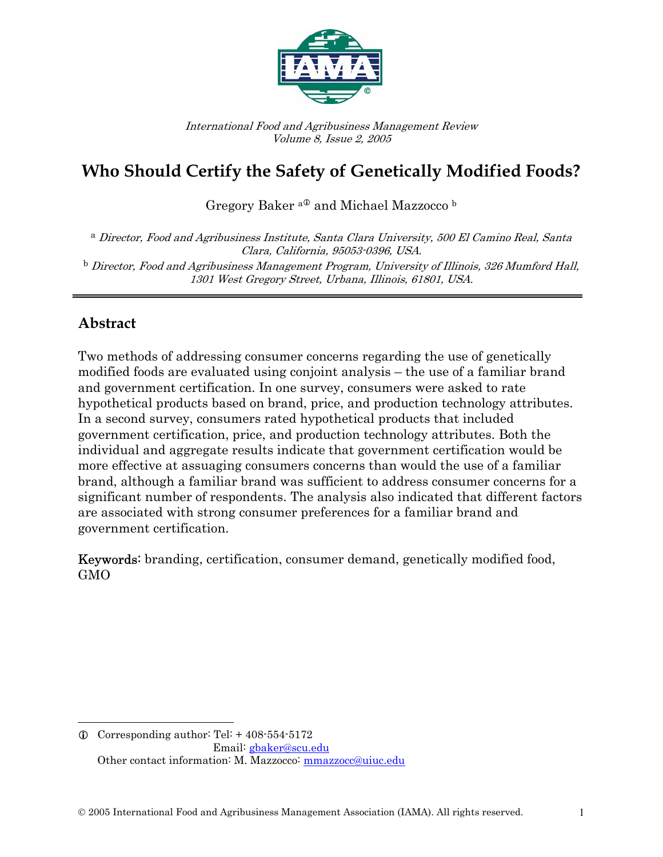

International Food and Agribusiness Management Review Volume 8, Issue 2, 2005

# **Who Should Certify the Safety of Genetically Modified Foods?**

Gregory Baker <sup>a®</sup> and Michael Mazzocco b

<sup>a</sup> Director, Food and Agribusiness Institute, Santa Clara University, 500 El Camino Real, Santa Clara, California, 95053-0396, USA.  $^{\rm b}$  Director, Food and Agribusiness Management Program, University of Illinois, 326 Mumford Hall, 1301 West Gregory Street, Urbana, Illinois, 61801, USA.

### **Abstract**

 $\overline{\phantom{a}}$ 

Two methods of addressing consumer concerns regarding the use of genetically modified foods are evaluated using conjoint analysis – the use of a familiar brand and government certification. In one survey, consumers were asked to rate hypothetical products based on brand, price, and production technology attributes. In a second survey, consumers rated hypothetical products that included government certification, price, and production technology attributes. Both the individual and aggregate results indicate that government certification would be more effective at assuaging consumers concerns than would the use of a familiar brand, although a familiar brand was sufficient to address consumer concerns for a significant number of respondents. The analysis also indicated that different factors are associated with strong consumer preferences for a familiar brand and government certification.

Keywords: branding, certification, consumer demand, genetically modified food, GMO

 $Q$  Corresponding author: Tel: + 408-554-5172 Email: gbaker@scu.edu Other contact information: M. Mazzocco: mmazzocc@uiuc.edu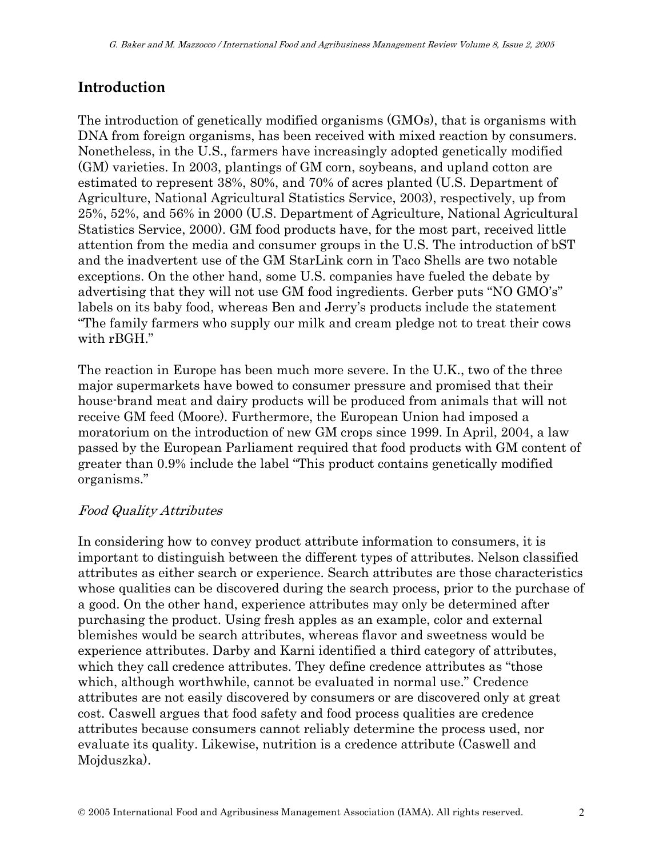## **Introduction**

The introduction of genetically modified organisms (GMOs), that is organisms with DNA from foreign organisms, has been received with mixed reaction by consumers. Nonetheless, in the U.S., farmers have increasingly adopted genetically modified (GM) varieties. In 2003, plantings of GM corn, soybeans, and upland cotton are estimated to represent 38%, 80%, and 70% of acres planted (U.S. Department of Agriculture, National Agricultural Statistics Service, 2003), respectively, up from 25%, 52%, and 56% in 2000 (U.S. Department of Agriculture, National Agricultural Statistics Service, 2000). GM food products have, for the most part, received little attention from the media and consumer groups in the U.S. The introduction of bST and the inadvertent use of the GM StarLink corn in Taco Shells are two notable exceptions. On the other hand, some U.S. companies have fueled the debate by advertising that they will not use GM food ingredients. Gerber puts "NO GMO's" labels on its baby food, whereas Ben and Jerry's products include the statement "The family farmers who supply our milk and cream pledge not to treat their cows with rBGH."

The reaction in Europe has been much more severe. In the U.K., two of the three major supermarkets have bowed to consumer pressure and promised that their house-brand meat and dairy products will be produced from animals that will not receive GM feed (Moore). Furthermore, the European Union had imposed a moratorium on the introduction of new GM crops since 1999. In April, 2004, a law passed by the European Parliament required that food products with GM content of greater than 0.9% include the label "This product contains genetically modified organisms."

#### Food Quality Attributes

In considering how to convey product attribute information to consumers, it is important to distinguish between the different types of attributes. Nelson classified attributes as either search or experience. Search attributes are those characteristics whose qualities can be discovered during the search process, prior to the purchase of a good. On the other hand, experience attributes may only be determined after purchasing the product. Using fresh apples as an example, color and external blemishes would be search attributes, whereas flavor and sweetness would be experience attributes. Darby and Karni identified a third category of attributes, which they call credence attributes. They define credence attributes as "those which, although worthwhile, cannot be evaluated in normal use." Credence attributes are not easily discovered by consumers or are discovered only at great cost. Caswell argues that food safety and food process qualities are credence attributes because consumers cannot reliably determine the process used, nor evaluate its quality. Likewise, nutrition is a credence attribute (Caswell and Mojduszka).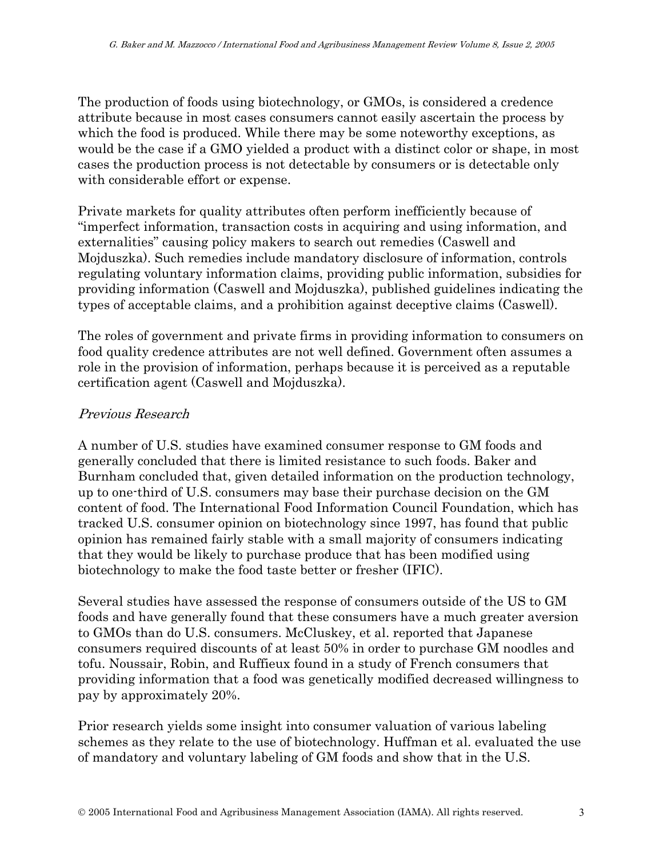The production of foods using biotechnology, or GMOs, is considered a credence attribute because in most cases consumers cannot easily ascertain the process by which the food is produced. While there may be some noteworthy exceptions, as would be the case if a GMO yielded a product with a distinct color or shape, in most cases the production process is not detectable by consumers or is detectable only with considerable effort or expense.

Private markets for quality attributes often perform inefficiently because of "imperfect information, transaction costs in acquiring and using information, and externalities" causing policy makers to search out remedies (Caswell and Mojduszka). Such remedies include mandatory disclosure of information, controls regulating voluntary information claims, providing public information, subsidies for providing information (Caswell and Mojduszka), published guidelines indicating the types of acceptable claims, and a prohibition against deceptive claims (Caswell).

The roles of government and private firms in providing information to consumers on food quality credence attributes are not well defined. Government often assumes a role in the provision of information, perhaps because it is perceived as a reputable certification agent (Caswell and Mojduszka).

#### Previous Research

A number of U.S. studies have examined consumer response to GM foods and generally concluded that there is limited resistance to such foods. Baker and Burnham concluded that, given detailed information on the production technology, up to one-third of U.S. consumers may base their purchase decision on the GM content of food. The International Food Information Council Foundation, which has tracked U.S. consumer opinion on biotechnology since 1997, has found that public opinion has remained fairly stable with a small majority of consumers indicating that they would be likely to purchase produce that has been modified using biotechnology to make the food taste better or fresher (IFIC).

Several studies have assessed the response of consumers outside of the US to GM foods and have generally found that these consumers have a much greater aversion to GMOs than do U.S. consumers. McCluskey, et al. reported that Japanese consumers required discounts of at least 50% in order to purchase GM noodles and tofu. Noussair, Robin, and Ruffieux found in a study of French consumers that providing information that a food was genetically modified decreased willingness to pay by approximately 20%.

Prior research yields some insight into consumer valuation of various labeling schemes as they relate to the use of biotechnology. Huffman et al. evaluated the use of mandatory and voluntary labeling of GM foods and show that in the U.S.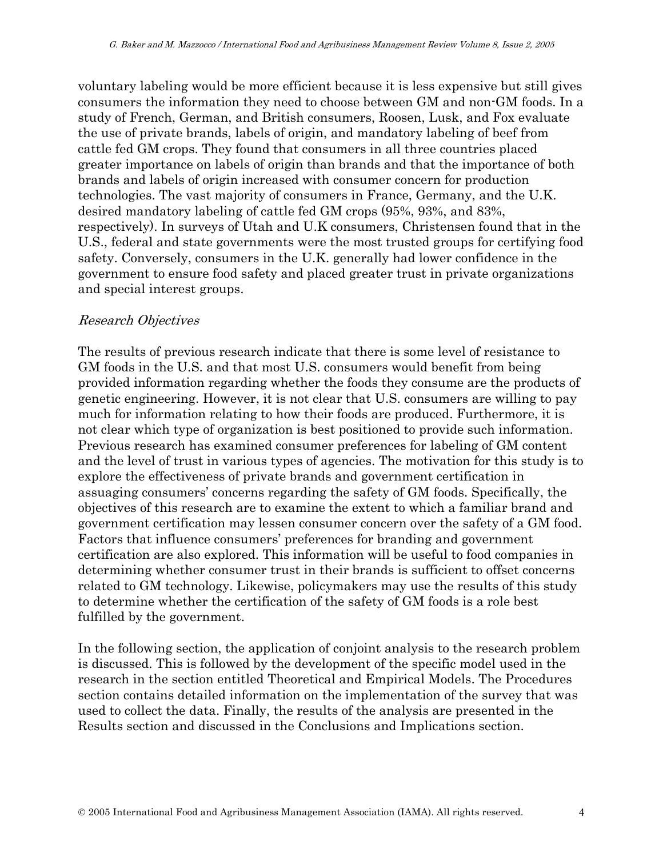voluntary labeling would be more efficient because it is less expensive but still gives consumers the information they need to choose between GM and non-GM foods. In a study of French, German, and British consumers, Roosen, Lusk, and Fox evaluate the use of private brands, labels of origin, and mandatory labeling of beef from cattle fed GM crops. They found that consumers in all three countries placed greater importance on labels of origin than brands and that the importance of both brands and labels of origin increased with consumer concern for production technologies. The vast majority of consumers in France, Germany, and the U.K. desired mandatory labeling of cattle fed GM crops (95%, 93%, and 83%, respectively). In surveys of Utah and U.K consumers, Christensen found that in the U.S., federal and state governments were the most trusted groups for certifying food safety. Conversely, consumers in the U.K. generally had lower confidence in the government to ensure food safety and placed greater trust in private organizations and special interest groups.

#### Research Objectives

The results of previous research indicate that there is some level of resistance to GM foods in the U.S. and that most U.S. consumers would benefit from being provided information regarding whether the foods they consume are the products of genetic engineering. However, it is not clear that U.S. consumers are willing to pay much for information relating to how their foods are produced. Furthermore, it is not clear which type of organization is best positioned to provide such information. Previous research has examined consumer preferences for labeling of GM content and the level of trust in various types of agencies. The motivation for this study is to explore the effectiveness of private brands and government certification in assuaging consumers' concerns regarding the safety of GM foods. Specifically, the objectives of this research are to examine the extent to which a familiar brand and government certification may lessen consumer concern over the safety of a GM food. Factors that influence consumers' preferences for branding and government certification are also explored. This information will be useful to food companies in determining whether consumer trust in their brands is sufficient to offset concerns related to GM technology. Likewise, policymakers may use the results of this study to determine whether the certification of the safety of GM foods is a role best fulfilled by the government.

In the following section, the application of conjoint analysis to the research problem is discussed. This is followed by the development of the specific model used in the research in the section entitled Theoretical and Empirical Models. The Procedures section contains detailed information on the implementation of the survey that was used to collect the data. Finally, the results of the analysis are presented in the Results section and discussed in the Conclusions and Implications section.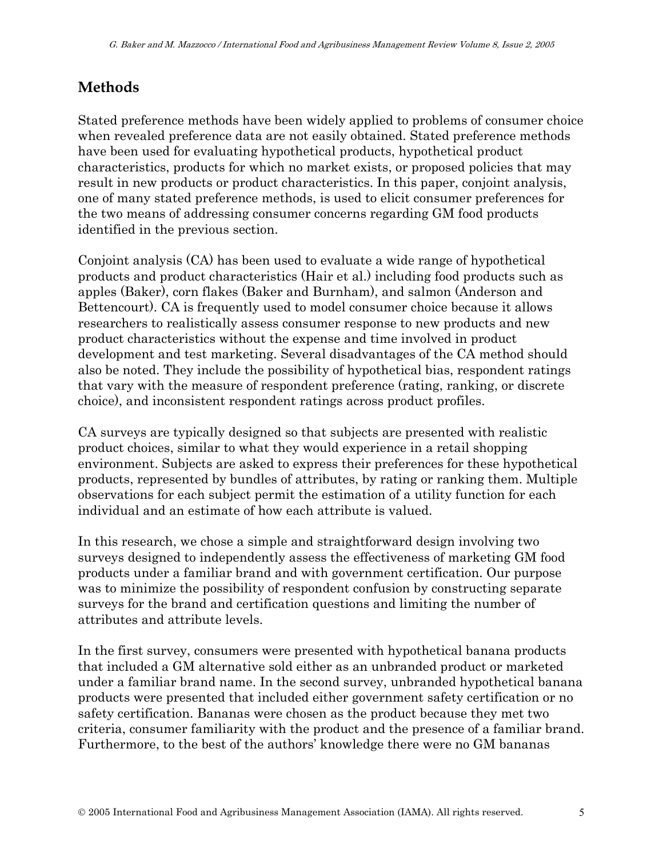# **Methods**

Stated preference methods have been widely applied to problems of consumer choice when revealed preference data are not easily obtained. Stated preference methods have been used for evaluating hypothetical products, hypothetical product characteristics, products for which no market exists, or proposed policies that may result in new products or product characteristics. In this paper, conjoint analysis, one of many stated preference methods, is used to elicit consumer preferences for the two means of addressing consumer concerns regarding GM food products identified in the previous section.

Conjoint analysis (CA) has been used to evaluate a wide range of hypothetical products and product characteristics (Hair et al.) including food products such as apples (Baker), corn flakes (Baker and Burnham), and salmon (Anderson and Bettencourt). CA is frequently used to model consumer choice because it allows researchers to realistically assess consumer response to new products and new product characteristics without the expense and time involved in product development and test marketing. Several disadvantages of the CA method should also be noted. They include the possibility of hypothetical bias, respondent ratings that vary with the measure of respondent preference (rating, ranking, or discrete choice), and inconsistent respondent ratings across product profiles.

CA surveys are typically designed so that subjects are presented with realistic product choices, similar to what they would experience in a retail shopping environment. Subjects are asked to express their preferences for these hypothetical products, represented by bundles of attributes, by rating or ranking them. Multiple observations for each subject permit the estimation of a utility function for each individual and an estimate of how each attribute is valued.

In this research, we chose a simple and straightforward design involving two surveys designed to independently assess the effectiveness of marketing GM food products under a familiar brand and with government certification. Our purpose was to minimize the possibility of respondent confusion by constructing separate surveys for the brand and certification questions and limiting the number of attributes and attribute levels.

In the first survey, consumers were presented with hypothetical banana products that included a GM alternative sold either as an unbranded product or marketed under a familiar brand name. In the second survey, unbranded hypothetical banana products were presented that included either government safety certification or no safety certification. Bananas were chosen as the product because they met two criteria, consumer familiarity with the product and the presence of a familiar brand. Furthermore, to the best of the authors' knowledge there were no GM bananas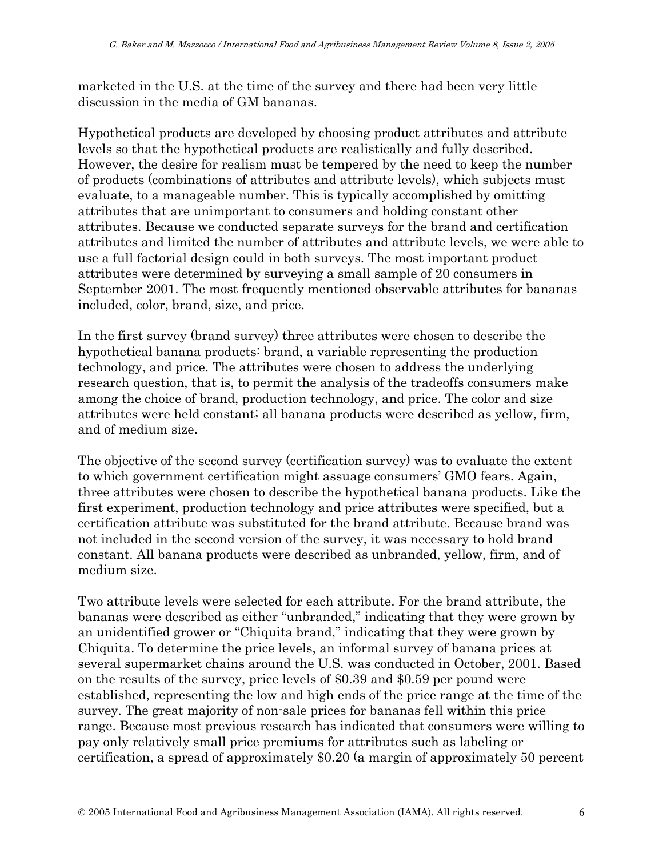marketed in the U.S. at the time of the survey and there had been very little discussion in the media of GM bananas.

Hypothetical products are developed by choosing product attributes and attribute levels so that the hypothetical products are realistically and fully described. However, the desire for realism must be tempered by the need to keep the number of products (combinations of attributes and attribute levels), which subjects must evaluate, to a manageable number. This is typically accomplished by omitting attributes that are unimportant to consumers and holding constant other attributes. Because we conducted separate surveys for the brand and certification attributes and limited the number of attributes and attribute levels, we were able to use a full factorial design could in both surveys. The most important product attributes were determined by surveying a small sample of 20 consumers in September 2001. The most frequently mentioned observable attributes for bananas included, color, brand, size, and price.

In the first survey (brand survey) three attributes were chosen to describe the hypothetical banana products: brand, a variable representing the production technology, and price. The attributes were chosen to address the underlying research question, that is, to permit the analysis of the tradeoffs consumers make among the choice of brand, production technology, and price. The color and size attributes were held constant; all banana products were described as yellow, firm, and of medium size.

The objective of the second survey (certification survey) was to evaluate the extent to which government certification might assuage consumers' GMO fears. Again, three attributes were chosen to describe the hypothetical banana products. Like the first experiment, production technology and price attributes were specified, but a certification attribute was substituted for the brand attribute. Because brand was not included in the second version of the survey, it was necessary to hold brand constant. All banana products were described as unbranded, yellow, firm, and of medium size.

Two attribute levels were selected for each attribute. For the brand attribute, the bananas were described as either "unbranded," indicating that they were grown by an unidentified grower or "Chiquita brand," indicating that they were grown by Chiquita. To determine the price levels, an informal survey of banana prices at several supermarket chains around the U.S. was conducted in October, 2001. Based on the results of the survey, price levels of \$0.39 and \$0.59 per pound were established, representing the low and high ends of the price range at the time of the survey. The great majority of non-sale prices for bananas fell within this price range. Because most previous research has indicated that consumers were willing to pay only relatively small price premiums for attributes such as labeling or certification, a spread of approximately \$0.20 (a margin of approximately 50 percent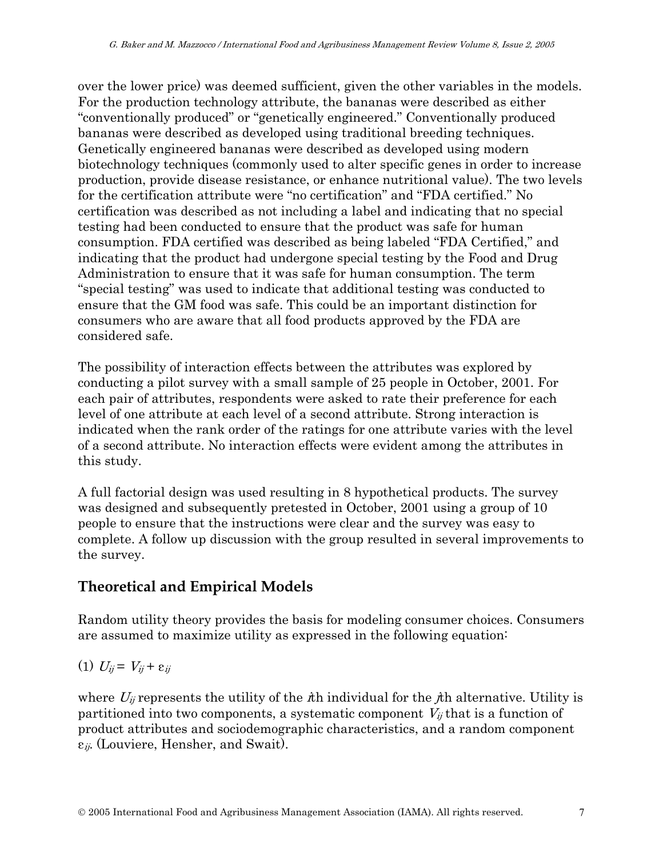over the lower price) was deemed sufficient, given the other variables in the models. For the production technology attribute, the bananas were described as either "conventionally produced" or "genetically engineered." Conventionally produced bananas were described as developed using traditional breeding techniques. Genetically engineered bananas were described as developed using modern biotechnology techniques (commonly used to alter specific genes in order to increase production, provide disease resistance, or enhance nutritional value). The two levels for the certification attribute were "no certification" and "FDA certified." No certification was described as not including a label and indicating that no special testing had been conducted to ensure that the product was safe for human consumption. FDA certified was described as being labeled "FDA Certified," and indicating that the product had undergone special testing by the Food and Drug Administration to ensure that it was safe for human consumption. The term "special testing" was used to indicate that additional testing was conducted to ensure that the GM food was safe. This could be an important distinction for consumers who are aware that all food products approved by the FDA are considered safe.

The possibility of interaction effects between the attributes was explored by conducting a pilot survey with a small sample of 25 people in October, 2001. For each pair of attributes, respondents were asked to rate their preference for each level of one attribute at each level of a second attribute. Strong interaction is indicated when the rank order of the ratings for one attribute varies with the level of a second attribute. No interaction effects were evident among the attributes in this study.

A full factorial design was used resulting in 8 hypothetical products. The survey was designed and subsequently pretested in October, 2001 using a group of 10 people to ensure that the instructions were clear and the survey was easy to complete. A follow up discussion with the group resulted in several improvements to the survey.

### **Theoretical and Empirical Models**

Random utility theory provides the basis for modeling consumer choices. Consumers are assumed to maximize utility as expressed in the following equation:

$$
(1) U_{ij} = V_{ij} + \varepsilon_{ij}
$$

where  $U_{ij}$  represents the utility of the  $i$ th individual for the  $i$ th alternative. Utility is partitioned into two components, a systematic component  $V_{ij}$  that is a function of product attributes and sociodemographic characteristics, and a random component  $\varepsilon_{ij}$ . (Louviere, Hensher, and Swait).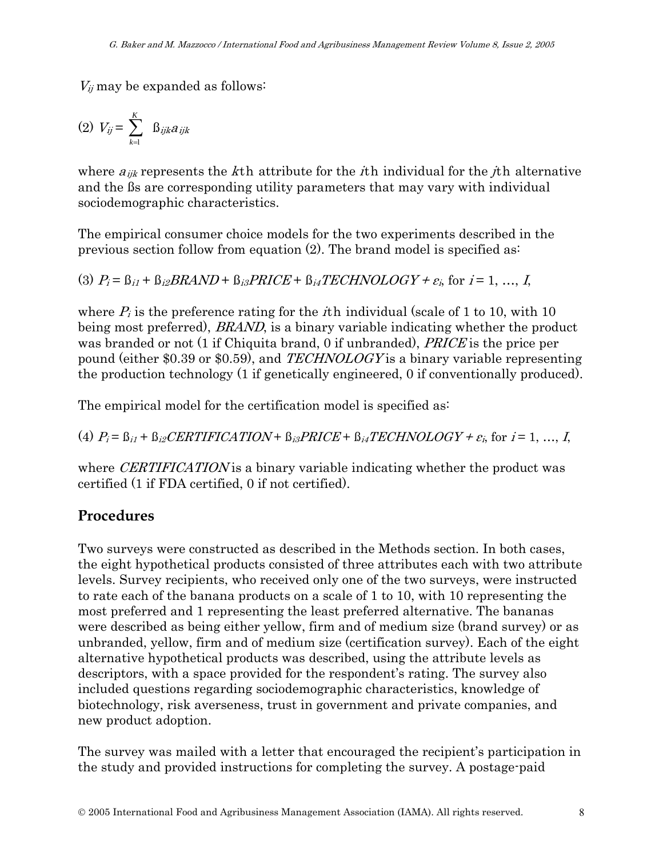$V_{ij}$  may be expanded as follows:

$$
(2) V_{ij} = \sum_{k=1}^{K} \beta_{ijk} a_{ijk}
$$

where  $a_{ijk}$  represents the kth attribute for the *i*th individual for the *j*th alternative and the ßs are corresponding utility parameters that may vary with individual sociodemographic characteristics.

The empirical consumer choice models for the two experiments described in the previous section follow from equation (2). The brand model is specified as:

(3)  $P_i = \beta_{i1} + \beta_{i2} BRAND + \beta_{i3} PRICE + \beta_{i4} TECH NOLOGY + \varepsilon_i$ , for  $i = 1, ..., I$ ,

where  $P_i$  is the preference rating for the *i*th individual (scale of 1 to 10, with 10) being most preferred), *BRAND*, is a binary variable indicating whether the product was branded or not (1 if Chiquita brand, 0 if unbranded), *PRICE* is the price per pound (either \$0.39 or \$0.59), and TECHNOLOGY is a binary variable representing the production technology (1 if genetically engineered, 0 if conventionally produced).

The empirical model for the certification model is specified as:

(4)  $P_i = \beta_{i1} + \beta_{i2} CERTIFICATION + \beta_{i3} PRICE + \beta_{i4} TECH NOLOGY + \varepsilon_i$ , for  $i = 1, ..., I$ ,

where *CERTIFICATION* is a binary variable indicating whether the product was certified (1 if FDA certified, 0 if not certified).

### **Procedures**

Two surveys were constructed as described in the Methods section. In both cases, the eight hypothetical products consisted of three attributes each with two attribute levels. Survey recipients, who received only one of the two surveys, were instructed to rate each of the banana products on a scale of 1 to 10, with 10 representing the most preferred and 1 representing the least preferred alternative. The bananas were described as being either yellow, firm and of medium size (brand survey) or as unbranded, yellow, firm and of medium size (certification survey). Each of the eight alternative hypothetical products was described, using the attribute levels as descriptors, with a space provided for the respondent's rating. The survey also included questions regarding sociodemographic characteristics, knowledge of biotechnology, risk averseness, trust in government and private companies, and new product adoption.

The survey was mailed with a letter that encouraged the recipient's participation in the study and provided instructions for completing the survey. A postage-paid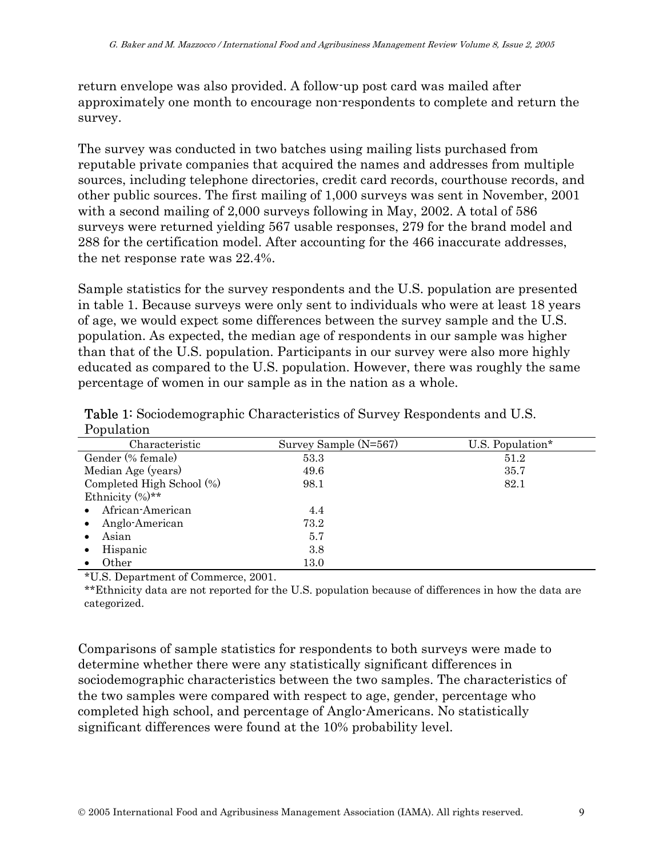return envelope was also provided. A follow-up post card was mailed after approximately one month to encourage non-respondents to complete and return the survey.

The survey was conducted in two batches using mailing lists purchased from reputable private companies that acquired the names and addresses from multiple sources, including telephone directories, credit card records, courthouse records, and other public sources. The first mailing of 1,000 surveys was sent in November, 2001 with a second mailing of 2,000 surveys following in May, 2002. A total of 586 surveys were returned yielding 567 usable responses, 279 for the brand model and 288 for the certification model. After accounting for the 466 inaccurate addresses, the net response rate was 22.4%.

Sample statistics for the survey respondents and the U.S. population are presented in table 1. Because surveys were only sent to individuals who were at least 18 years of age, we would expect some differences between the survey sample and the U.S. population. As expected, the median age of respondents in our sample was higher than that of the U.S. population. Participants in our survey were also more highly educated as compared to the U.S. population. However, there was roughly the same percentage of women in our sample as in the nation as a whole.

| τ υραιασιστι              |                       |                  |
|---------------------------|-----------------------|------------------|
| Characteristic            | Survey Sample (N=567) | U.S. Population* |
| Gender (% female)         | 53.3                  | 51.2             |
| Median Age (years)        | 49.6                  | 35.7             |
| Completed High School (%) | 98.1                  | 82.1             |
| Ethnicity $(\%)**$        |                       |                  |
| African-American<br>٠     | 4.4                   |                  |
| Anglo-American            | 73.2                  |                  |
| Asian<br>٠                | 5.7                   |                  |
| Hispanic                  | 3.8                   |                  |
| Other                     | 13.0                  |                  |
|                           |                       |                  |

Table 1: Sociodemographic Characteristics of Survey Respondents and U.S. Population

\*U.S. Department of Commerce, 2001.

\*\*Ethnicity data are not reported for the U.S. population because of differences in how the data are categorized.

Comparisons of sample statistics for respondents to both surveys were made to determine whether there were any statistically significant differences in sociodemographic characteristics between the two samples. The characteristics of the two samples were compared with respect to age, gender, percentage who completed high school, and percentage of Anglo-Americans. No statistically significant differences were found at the 10% probability level.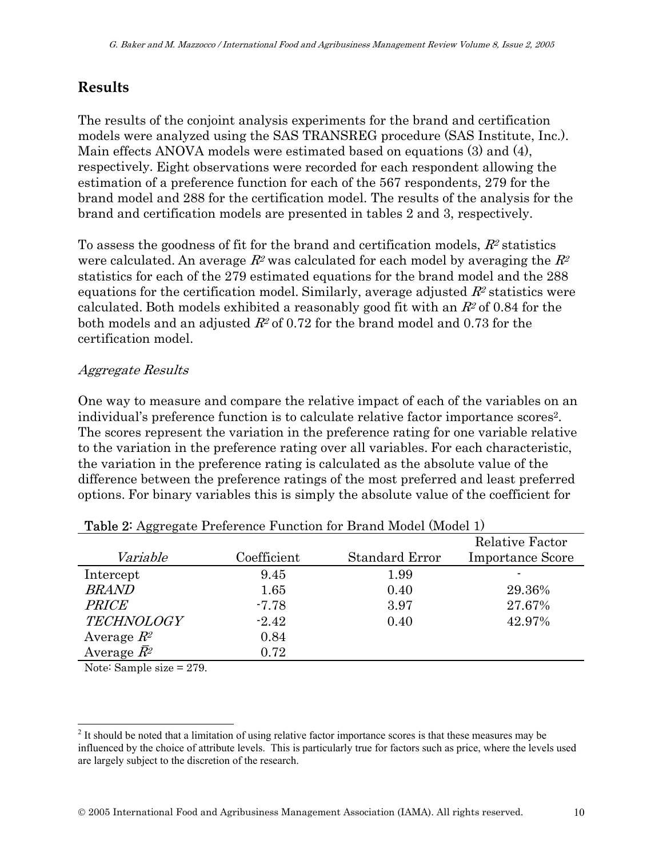# **Results**

The results of the conjoint analysis experiments for the brand and certification models were analyzed using the SAS TRANSREG procedure (SAS Institute, Inc.). Main effects ANOVA models were estimated based on equations (3) and (4), respectively. Eight observations were recorded for each respondent allowing the estimation of a preference function for each of the 567 respondents, 279 for the brand model and 288 for the certification model. The results of the analysis for the brand and certification models are presented in tables 2 and 3, respectively.

To assess the goodness of fit for the brand and certification models,  $R^2$  statistics were calculated. An average  $R^2$  was calculated for each model by averaging the  $R^2$ statistics for each of the 279 estimated equations for the brand model and the 288 equations for the certification model. Similarly, average adjusted  $R^2$  statistics were calculated. Both models exhibited a reasonably good fit with an  $R<sup>2</sup>$  of 0.84 for the both models and an adjusted  $R^2$  of 0.72 for the brand model and 0.73 for the certification model.

#### Aggregate Results

One way to measure and compare the relative impact of each of the variables on an individual's preference function is to calculate relative factor importance scores2. The scores represent the variation in the preference rating for one variable relative to the variation in the preference rating over all variables. For each characteristic, the variation in the preference rating is calculated as the absolute value of the difference between the preference ratings of the most preferred and least preferred options. For binary variables this is simply the absolute value of the coefficient for

| <b>Table 2.</b> Aggregate Freierence Function for Drama Model (Model 1)                                                                                                                                                                                                                                                            |             |                |                         |  |
|------------------------------------------------------------------------------------------------------------------------------------------------------------------------------------------------------------------------------------------------------------------------------------------------------------------------------------|-------------|----------------|-------------------------|--|
|                                                                                                                                                                                                                                                                                                                                    |             |                | <b>Relative Factor</b>  |  |
| Variable                                                                                                                                                                                                                                                                                                                           | Coefficient | Standard Error | <b>Importance Score</b> |  |
| Intercept                                                                                                                                                                                                                                                                                                                          | 9.45        | 1.99           |                         |  |
| <b>BRAND</b>                                                                                                                                                                                                                                                                                                                       | 1.65        | 0.40           | 29.36%                  |  |
| <b>PRICE</b>                                                                                                                                                                                                                                                                                                                       | $-7.78$     | 3.97           | 27.67%                  |  |
| <b>TECHNOLOGY</b>                                                                                                                                                                                                                                                                                                                  | $-2.42$     | 0.40           | 42.97%                  |  |
| Average $R^2$                                                                                                                                                                                                                                                                                                                      | 0.84        |                |                         |  |
| Average $\bar{R}^2$                                                                                                                                                                                                                                                                                                                | 0.72        |                |                         |  |
| $\mathbf{r}$ $\mathbf{r}$ $\mathbf{r}$ $\mathbf{r}$ $\mathbf{r}$ $\mathbf{r}$ $\mathbf{r}$ $\mathbf{r}$ $\mathbf{r}$ $\mathbf{r}$ $\mathbf{r}$ $\mathbf{r}$ $\mathbf{r}$ $\mathbf{r}$ $\mathbf{r}$ $\mathbf{r}$ $\mathbf{r}$ $\mathbf{r}$ $\mathbf{r}$ $\mathbf{r}$ $\mathbf{r}$ $\mathbf{r}$ $\mathbf{r}$ $\mathbf{r}$ $\mathbf{$ |             |                |                         |  |

| Table 2: Aggregate Preference Function for Brand Model (Model 1) |  |  |  |
|------------------------------------------------------------------|--|--|--|
|------------------------------------------------------------------|--|--|--|

Note: Sample size = 279.

 $\overline{\phantom{a}}$  $2<sup>2</sup>$  It should be noted that a limitation of using relative factor importance scores is that these measures may be influenced by the choice of attribute levels. This is particularly true for factors such as price, where the levels used are largely subject to the discretion of the research.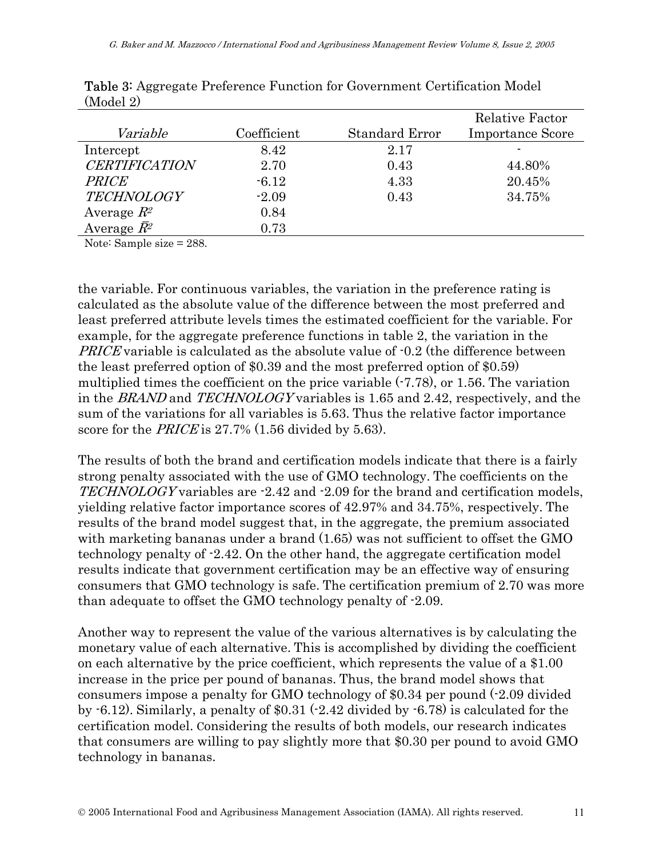|                                                     |             |                       | <b>Relative Factor</b>  |
|-----------------------------------------------------|-------------|-----------------------|-------------------------|
| Variable                                            | Coefficient | <b>Standard Error</b> | <b>Importance Score</b> |
| Intercept                                           | 8.42        | 2.17                  |                         |
| <b>CERTIFICATION</b>                                | 2.70        | 0.43                  | 44.80%                  |
| <b>PRICE</b>                                        | $-6.12$     | 4.33                  | 20.45%                  |
| <b>TECHNOLOGY</b>                                   | $-2.09$     | 0.43                  | 34.75%                  |
| Average $R^2$                                       | 0.84        |                       |                         |
| Average $\bar{R}^2$                                 | 0.73        |                       |                         |
| $\mathbf{M}$ $\mathbf{M}$<br>$\mathbf{1}$<br>$\cap$ |             |                       |                         |

Table 3: Aggregate Preference Function for Government Certification Model (Model 2)

Note: Sample size = 288.

the variable. For continuous variables, the variation in the preference rating is calculated as the absolute value of the difference between the most preferred and least preferred attribute levels times the estimated coefficient for the variable. For example, for the aggregate preference functions in table 2, the variation in the PRICE variable is calculated as the absolute value of -0.2 (the difference between the least preferred option of \$0.39 and the most preferred option of \$0.59) multiplied times the coefficient on the price variable  $(-7.78)$ , or 1.56. The variation in the BRAND and TECHNOLOGY variables is 1.65 and 2.42, respectively, and the sum of the variations for all variables is 5.63. Thus the relative factor importance score for the *PRICE* is 27.7% (1.56 divided by 5.63).

The results of both the brand and certification models indicate that there is a fairly strong penalty associated with the use of GMO technology. The coefficients on the TECHNOLOGY variables are -2.42 and -2.09 for the brand and certification models, yielding relative factor importance scores of 42.97% and 34.75%, respectively. The results of the brand model suggest that, in the aggregate, the premium associated with marketing bananas under a brand (1.65) was not sufficient to offset the GMO technology penalty of -2.42. On the other hand, the aggregate certification model results indicate that government certification may be an effective way of ensuring consumers that GMO technology is safe. The certification premium of 2.70 was more than adequate to offset the GMO technology penalty of -2.09.

Another way to represent the value of the various alternatives is by calculating the monetary value of each alternative. This is accomplished by dividing the coefficient on each alternative by the price coefficient, which represents the value of a \$1.00 increase in the price per pound of bananas. Thus, the brand model shows that consumers impose a penalty for GMO technology of \$0.34 per pound (-2.09 divided by  $-6.12$ ). Similarly, a penalty of \$0.31  $(-2.42 \text{ divided by } -6.78)$  is calculated for the certification model. Considering the results of both models, our research indicates that consumers are willing to pay slightly more that \$0.30 per pound to avoid GMO technology in bananas.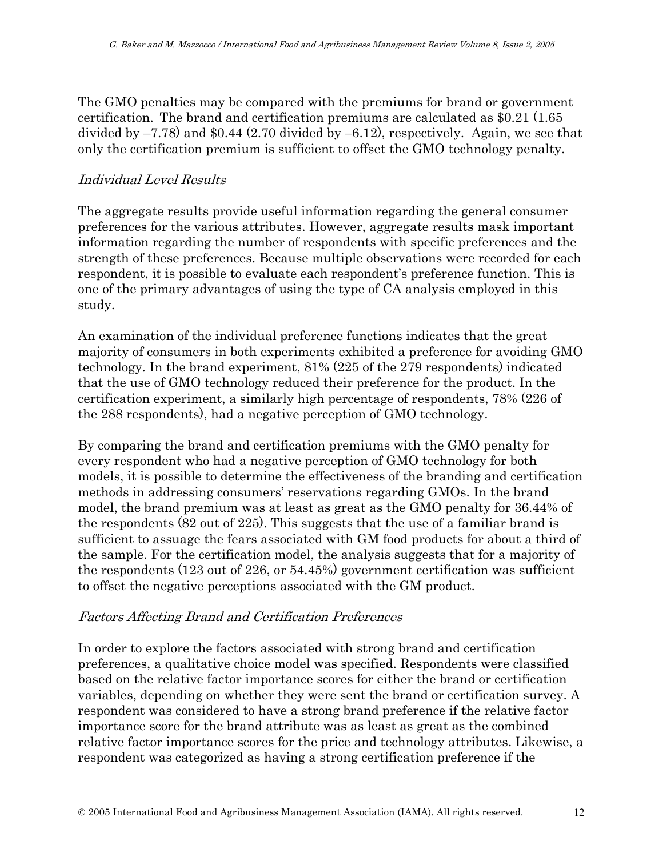The GMO penalties may be compared with the premiums for brand or government certification. The brand and certification premiums are calculated as \$0.21 (1.65 divided by –7.78) and \$0.44 (2.70 divided by –6.12), respectively. Again, we see that only the certification premium is sufficient to offset the GMO technology penalty.

#### Individual Level Results

The aggregate results provide useful information regarding the general consumer preferences for the various attributes. However, aggregate results mask important information regarding the number of respondents with specific preferences and the strength of these preferences. Because multiple observations were recorded for each respondent, it is possible to evaluate each respondent's preference function. This is one of the primary advantages of using the type of CA analysis employed in this study.

An examination of the individual preference functions indicates that the great majority of consumers in both experiments exhibited a preference for avoiding GMO technology. In the brand experiment, 81% (225 of the 279 respondents) indicated that the use of GMO technology reduced their preference for the product. In the certification experiment, a similarly high percentage of respondents, 78% (226 of the 288 respondents), had a negative perception of GMO technology.

By comparing the brand and certification premiums with the GMO penalty for every respondent who had a negative perception of GMO technology for both models, it is possible to determine the effectiveness of the branding and certification methods in addressing consumers' reservations regarding GMOs. In the brand model, the brand premium was at least as great as the GMO penalty for 36.44% of the respondents (82 out of 225). This suggests that the use of a familiar brand is sufficient to assuage the fears associated with GM food products for about a third of the sample. For the certification model, the analysis suggests that for a majority of the respondents (123 out of 226, or 54.45%) government certification was sufficient to offset the negative perceptions associated with the GM product.

#### Factors Affecting Brand and Certification Preferences

In order to explore the factors associated with strong brand and certification preferences, a qualitative choice model was specified. Respondents were classified based on the relative factor importance scores for either the brand or certification variables, depending on whether they were sent the brand or certification survey. A respondent was considered to have a strong brand preference if the relative factor importance score for the brand attribute was as least as great as the combined relative factor importance scores for the price and technology attributes. Likewise, a respondent was categorized as having a strong certification preference if the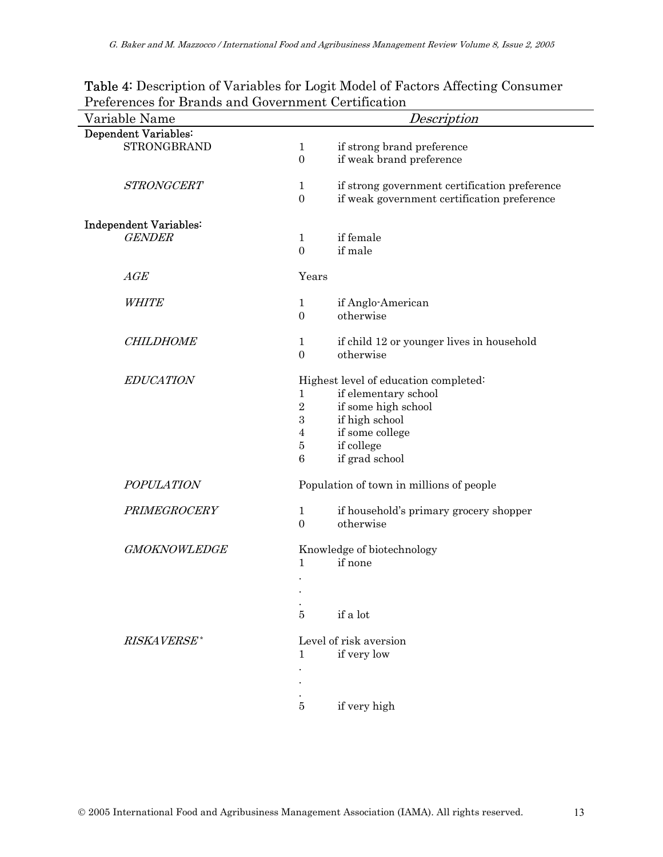| Variable Name          | Description                                                     |  |  |
|------------------------|-----------------------------------------------------------------|--|--|
| Dependent Variables:   |                                                                 |  |  |
| <b>STRONGBRAND</b>     | if strong brand preference<br>$\mathbf{1}$                      |  |  |
|                        | $\boldsymbol{0}$<br>if weak brand preference                    |  |  |
| <b>STRONGCERT</b>      | $\mathbf{1}$<br>if strong government certification preference   |  |  |
|                        | $\boldsymbol{0}$<br>if weak government certification preference |  |  |
| Independent Variables: |                                                                 |  |  |
| <b>GENDER</b>          | if female<br>$\mathbf{1}$                                       |  |  |
|                        | if male<br>$\mathbf{0}$                                         |  |  |
| AGE                    | Years                                                           |  |  |
| <b>WHITE</b>           | if Anglo-American<br>$\mathbf{1}$                               |  |  |
|                        | $\boldsymbol{0}$<br>otherwise                                   |  |  |
| <b>CHILDHOME</b>       | $\mathbf{1}$<br>if child 12 or younger lives in household       |  |  |
|                        | $\boldsymbol{0}$<br>otherwise                                   |  |  |
| <b>EDUCATION</b>       | Highest level of education completed:                           |  |  |
|                        | if elementary school<br>$\mathbf{1}$                            |  |  |
|                        | $\sqrt{2}$<br>if some high school                               |  |  |
|                        | $\,3$<br>if high school                                         |  |  |
|                        | if some college<br>$\overline{4}$                               |  |  |
|                        | $\bf 5$<br>if college                                           |  |  |
|                        | $\boldsymbol{6}$<br>if grad school                              |  |  |
| <b>POPULATION</b>      | Population of town in millions of people                        |  |  |
| PRIMEGROCERY           | $\mathbf{1}$<br>if household's primary grocery shopper          |  |  |
|                        | $\overline{0}$<br>otherwise                                     |  |  |
| <b>GMOKNOWLEDGE</b>    | Knowledge of biotechnology                                      |  |  |
|                        | if none<br>$\mathbf 1$                                          |  |  |
|                        |                                                                 |  |  |
|                        |                                                                 |  |  |
|                        |                                                                 |  |  |
|                        | $\overline{5}$<br>if a lot                                      |  |  |
| RISKAVERSE*            | Level of risk aversion                                          |  |  |
|                        | if very low<br>1                                                |  |  |
|                        |                                                                 |  |  |
|                        |                                                                 |  |  |
|                        | if very high<br>5                                               |  |  |

Table 4: Description of Variables for Logit Model of Factors Affecting Consumer Preferences for Brands and Government Certification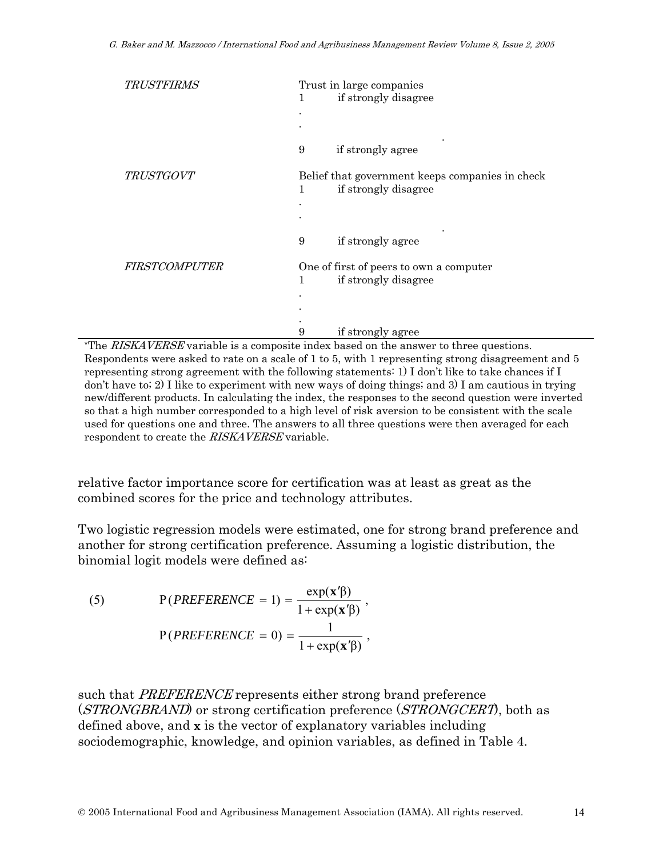| Trust in large companies<br>if strongly disagree<br>1                                                     |
|-----------------------------------------------------------------------------------------------------------|
| if strongly agree<br>9                                                                                    |
| Belief that government keeps companies in check<br>if strongly disagree<br>$\mathbf{1}$                   |
| if strongly agree<br>9                                                                                    |
| One of first of peers to own a computer<br>if strongly disagree<br>$\mathbf{1}$<br>if strongly agree<br>9 |
|                                                                                                           |

\*The RISKAVERSE variable is a composite index based on the answer to three questions. Respondents were asked to rate on a scale of 1 to 5, with 1 representing strong disagreement and 5 representing strong agreement with the following statements: 1) I don't like to take chances if I don't have to; 2) I like to experiment with new ways of doing things; and 3) I am cautious in trying new/different products. In calculating the index, the responses to the second question were inverted so that a high number corresponded to a high level of risk aversion to be consistent with the scale used for questions one and three. The answers to all three questions were then averaged for each respondent to create the RISKAVERSE variable.

relative factor importance score for certification was at least as great as the combined scores for the price and technology attributes.

Two logistic regression models were estimated, one for strong brand preference and another for strong certification preference. Assuming a logistic distribution, the binomial logit models were defined as:

(5) 
$$
P(PREFERENCE = 1) = \frac{\exp(\mathbf{x}'\beta)}{1 + \exp(\mathbf{x}'\beta)},
$$

$$
P(PREFERENCE = 0) = \frac{1}{1 + \exp(\mathbf{x}'\beta)},
$$

such that *PREFERENCE* represents either strong brand preference (*STRONGBRAND*) or strong certification preference (*STRONGCERT*), both as defined above, and  $x$  is the vector of explanatory variables including sociodemographic, knowledge, and opinion variables, as defined in Table 4.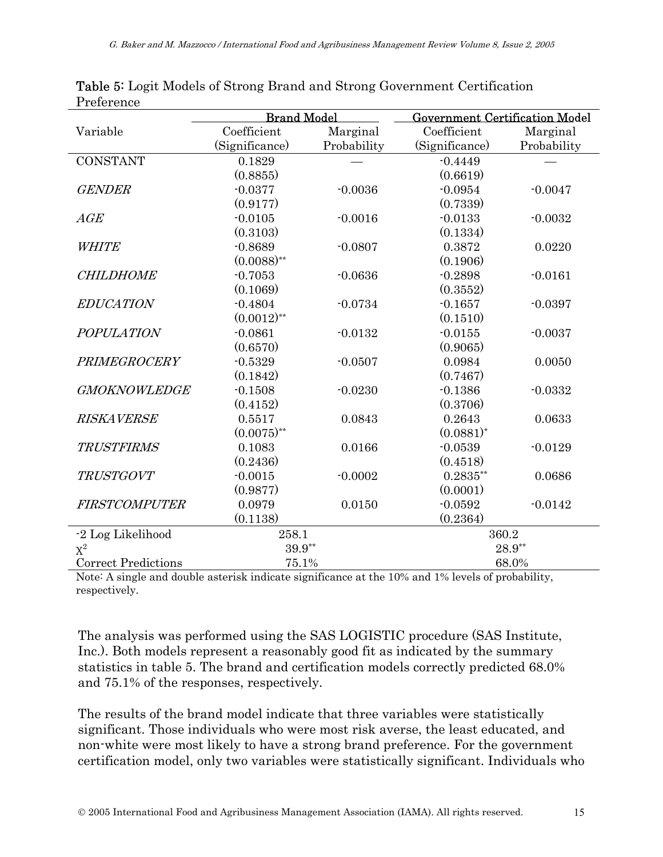|                            | <b>Brand Model</b> |             | <b>Government Certification Model</b> |             |
|----------------------------|--------------------|-------------|---------------------------------------|-------------|
| Variable                   | Coefficient        | Marginal    | Coefficient                           | Marginal    |
|                            | (Significance)     | Probability | (Significance)                        | Probability |
| <b>CONSTANT</b>            | 0.1829             |             | $-0.4449$                             |             |
|                            | (0.8855)           |             | (0.6619)                              |             |
| <b>GENDER</b>              | $-0.0377$          | $-0.0036$   | $-0.0954$                             | $-0.0047$   |
|                            | (0.9177)           |             | (0.7339)                              |             |
| AGE                        | $-0.0105$          | $-0.0016$   | $-0.0133$                             | $-0.0032$   |
|                            | (0.3103)           |             | (0.1334)                              |             |
| WHITE                      | $-0.8689$          | $-0.0807$   | 0.3872                                | 0.0220      |
|                            | $(0.0088)$ **      |             | (0.1906)                              |             |
| <b>CHILDHOME</b>           | $-0.7053$          | $-0.0636$   | $-0.2898$                             | $-0.0161$   |
|                            | (0.1069)           |             | (0.3552)                              |             |
| <b>EDUCATION</b>           | $-0.4804$          | $-0.0734$   | $-0.1657$                             | $-0.0397$   |
|                            | $(0.0012)$ **      |             | (0.1510)                              |             |
| <b>POPULATION</b>          | $-0.0861$          | $-0.0132$   | $-0.0155$                             | $-0.0037$   |
|                            | (0.6570)           |             | (0.9065)                              |             |
| PRIMEGROCERY               | $-0.5329$          | $-0.0507$   | 0.0984                                | 0.0050      |
|                            | (0.1842)           |             | (0.7467)                              |             |
| <b>GMOKNOWLEDGE</b>        | $-0.1508$          | $-0.0230$   | $-0.1386$                             | $-0.0332$   |
|                            | (0.4152)           |             | (0.3706)                              |             |
| <b>RISKAVERSE</b>          | 0.5517             | 0.0843      | 0.2643                                | 0.0633      |
|                            | $(0.0075)$ **      |             | $(0.0881)^{*}$                        |             |
| <b>TRUSTFIRMS</b>          | 0.1083             | 0.0166      | $-0.0539$                             | $-0.0129$   |
|                            | (0.2436)           |             | (0.4518)                              |             |
| <b>TRUSTGOVT</b>           | $-0.0015$          | $-0.0002$   | $0.2835**$                            | 0.0686      |
|                            | (0.9877)           |             | (0.0001)                              |             |
| <b>FIRSTCOMPUTER</b>       | 0.0979             | 0.0150      | $-0.0592$                             | $-0.0142$   |
|                            | (0.1138)           |             | (0.2364)                              |             |
| -2 Log Likelihood          | 258.1              |             | 360.2                                 |             |
| $\mathbf{X}^2$             | $39.9**$           |             |                                       | 28.9**      |
| <b>Correct Predictions</b> | 75.1%              |             | 68.0%                                 |             |

Table 5: Logit Models of Strong Brand and Strong Government Certification Preference

Note: A single and double asterisk indicate significance at the 10% and 1% levels of probability, respectively.

The analysis was performed using the SAS LOGISTIC procedure (SAS Institute, Inc.). Both models represent a reasonably good fit as indicated by the summary statistics in table 5. The brand and certification models correctly predicted 68.0% and 75.1% of the responses, respectively.

The results of the brand model indicate that three variables were statistically significant. Those individuals who were most risk averse, the least educated, and non-white were most likely to have a strong brand preference. For the government certification model, only two variables were statistically significant. Individuals who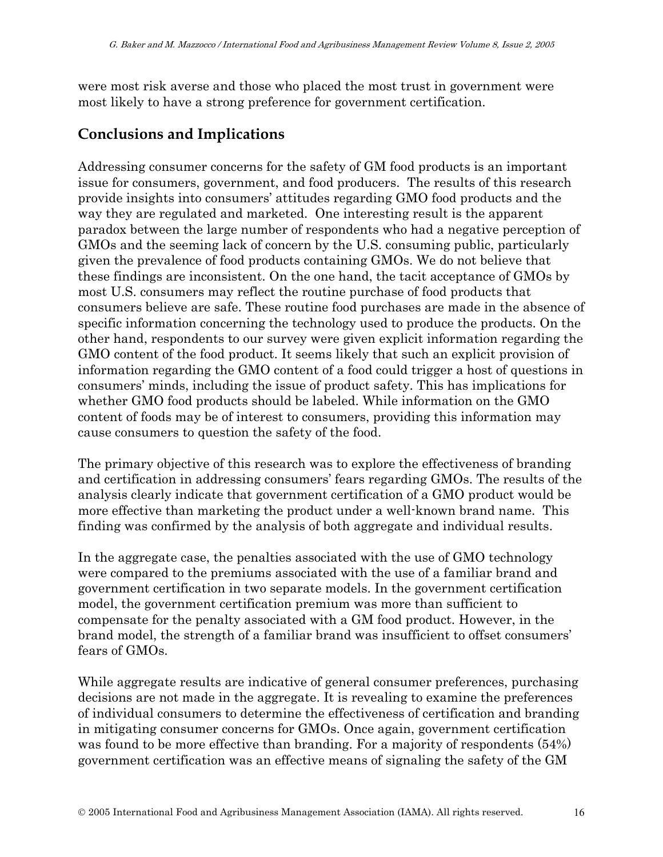were most risk averse and those who placed the most trust in government were most likely to have a strong preference for government certification.

### **Conclusions and Implications**

Addressing consumer concerns for the safety of GM food products is an important issue for consumers, government, and food producers. The results of this research provide insights into consumers' attitudes regarding GMO food products and the way they are regulated and marketed. One interesting result is the apparent paradox between the large number of respondents who had a negative perception of GMOs and the seeming lack of concern by the U.S. consuming public, particularly given the prevalence of food products containing GMOs. We do not believe that these findings are inconsistent. On the one hand, the tacit acceptance of GMOs by most U.S. consumers may reflect the routine purchase of food products that consumers believe are safe. These routine food purchases are made in the absence of specific information concerning the technology used to produce the products. On the other hand, respondents to our survey were given explicit information regarding the GMO content of the food product. It seems likely that such an explicit provision of information regarding the GMO content of a food could trigger a host of questions in consumers' minds, including the issue of product safety. This has implications for whether GMO food products should be labeled. While information on the GMO content of foods may be of interest to consumers, providing this information may cause consumers to question the safety of the food.

The primary objective of this research was to explore the effectiveness of branding and certification in addressing consumers' fears regarding GMOs. The results of the analysis clearly indicate that government certification of a GMO product would be more effective than marketing the product under a well-known brand name. This finding was confirmed by the analysis of both aggregate and individual results.

In the aggregate case, the penalties associated with the use of GMO technology were compared to the premiums associated with the use of a familiar brand and government certification in two separate models. In the government certification model, the government certification premium was more than sufficient to compensate for the penalty associated with a GM food product. However, in the brand model, the strength of a familiar brand was insufficient to offset consumers' fears of GMOs.

While aggregate results are indicative of general consumer preferences, purchasing decisions are not made in the aggregate. It is revealing to examine the preferences of individual consumers to determine the effectiveness of certification and branding in mitigating consumer concerns for GMOs. Once again, government certification was found to be more effective than branding. For a majority of respondents (54%) government certification was an effective means of signaling the safety of the GM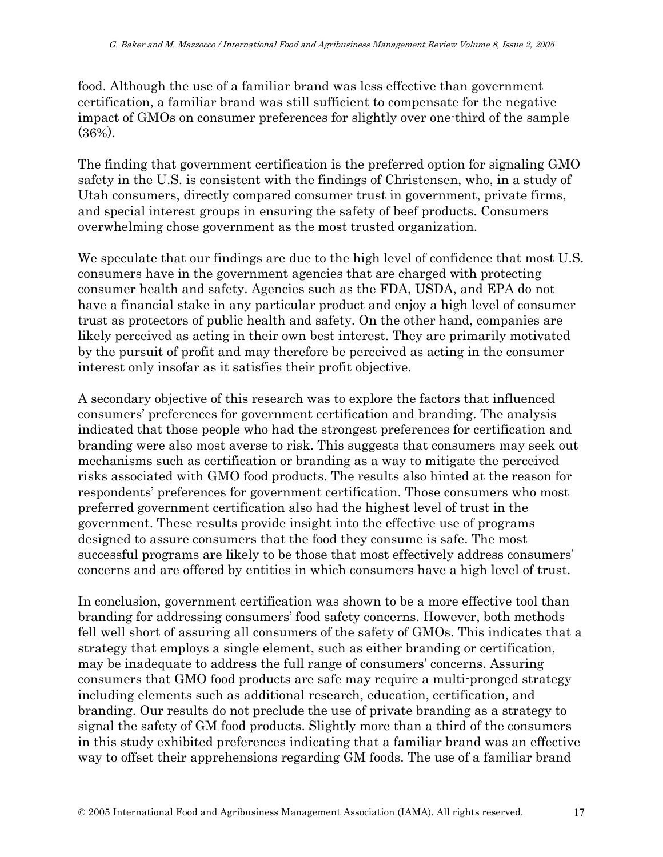food. Although the use of a familiar brand was less effective than government certification, a familiar brand was still sufficient to compensate for the negative impact of GMOs on consumer preferences for slightly over one-third of the sample  $(36\%)$ .

The finding that government certification is the preferred option for signaling GMO safety in the U.S. is consistent with the findings of Christensen, who, in a study of Utah consumers, directly compared consumer trust in government, private firms, and special interest groups in ensuring the safety of beef products. Consumers overwhelming chose government as the most trusted organization.

We speculate that our findings are due to the high level of confidence that most U.S. consumers have in the government agencies that are charged with protecting consumer health and safety. Agencies such as the FDA, USDA, and EPA do not have a financial stake in any particular product and enjoy a high level of consumer trust as protectors of public health and safety. On the other hand, companies are likely perceived as acting in their own best interest. They are primarily motivated by the pursuit of profit and may therefore be perceived as acting in the consumer interest only insofar as it satisfies their profit objective.

A secondary objective of this research was to explore the factors that influenced consumers' preferences for government certification and branding. The analysis indicated that those people who had the strongest preferences for certification and branding were also most averse to risk. This suggests that consumers may seek out mechanisms such as certification or branding as a way to mitigate the perceived risks associated with GMO food products. The results also hinted at the reason for respondents' preferences for government certification. Those consumers who most preferred government certification also had the highest level of trust in the government. These results provide insight into the effective use of programs designed to assure consumers that the food they consume is safe. The most successful programs are likely to be those that most effectively address consumers' concerns and are offered by entities in which consumers have a high level of trust.

In conclusion, government certification was shown to be a more effective tool than branding for addressing consumers' food safety concerns. However, both methods fell well short of assuring all consumers of the safety of GMOs. This indicates that a strategy that employs a single element, such as either branding or certification, may be inadequate to address the full range of consumers' concerns. Assuring consumers that GMO food products are safe may require a multi-pronged strategy including elements such as additional research, education, certification, and branding. Our results do not preclude the use of private branding as a strategy to signal the safety of GM food products. Slightly more than a third of the consumers in this study exhibited preferences indicating that a familiar brand was an effective way to offset their apprehensions regarding GM foods. The use of a familiar brand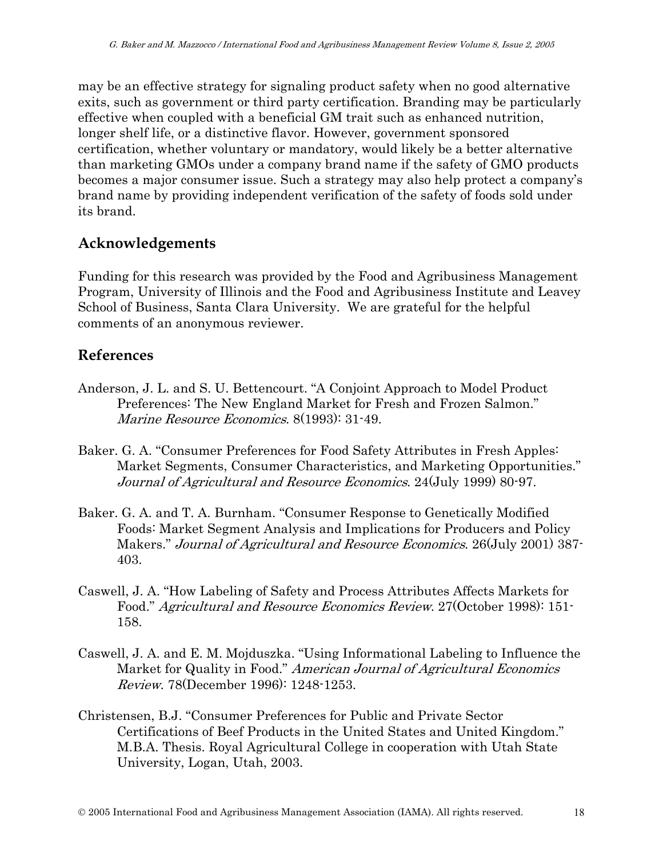may be an effective strategy for signaling product safety when no good alternative exits, such as government or third party certification. Branding may be particularly effective when coupled with a beneficial GM trait such as enhanced nutrition, longer shelf life, or a distinctive flavor. However, government sponsored certification, whether voluntary or mandatory, would likely be a better alternative than marketing GMOs under a company brand name if the safety of GMO products becomes a major consumer issue. Such a strategy may also help protect a company's brand name by providing independent verification of the safety of foods sold under its brand.

### **Acknowledgements**

Funding for this research was provided by the Food and Agribusiness Management Program, University of Illinois and the Food and Agribusiness Institute and Leavey School of Business, Santa Clara University. We are grateful for the helpful comments of an anonymous reviewer.

### **References**

- Anderson, J. L. and S. U. Bettencourt. "A Conjoint Approach to Model Product Preferences: The New England Market for Fresh and Frozen Salmon." Marine Resource Economics. 8(1993): 31-49.
- Baker. G. A. "Consumer Preferences for Food Safety Attributes in Fresh Apples: Market Segments, Consumer Characteristics, and Marketing Opportunities." Journal of Agricultural and Resource Economics. 24(July 1999) 80-97.
- Baker. G. A. and T. A. Burnham. "Consumer Response to Genetically Modified Foods: Market Segment Analysis and Implications for Producers and Policy Makers." *Journal of Agricultural and Resource Economics.* 26(July 2001) 387-403.
- Caswell, J. A. "How Labeling of Safety and Process Attributes Affects Markets for Food." Agricultural and Resource Economics Review. 27(October 1998): 151- 158.
- Caswell, J. A. and E. M. Mojduszka. "Using Informational Labeling to Influence the Market for Quality in Food." American Journal of Agricultural Economics Review. 78(December 1996): 1248-1253.
- Christensen, B.J. "Consumer Preferences for Public and Private Sector Certifications of Beef Products in the United States and United Kingdom." M.B.A. Thesis. Royal Agricultural College in cooperation with Utah State University, Logan, Utah, 2003.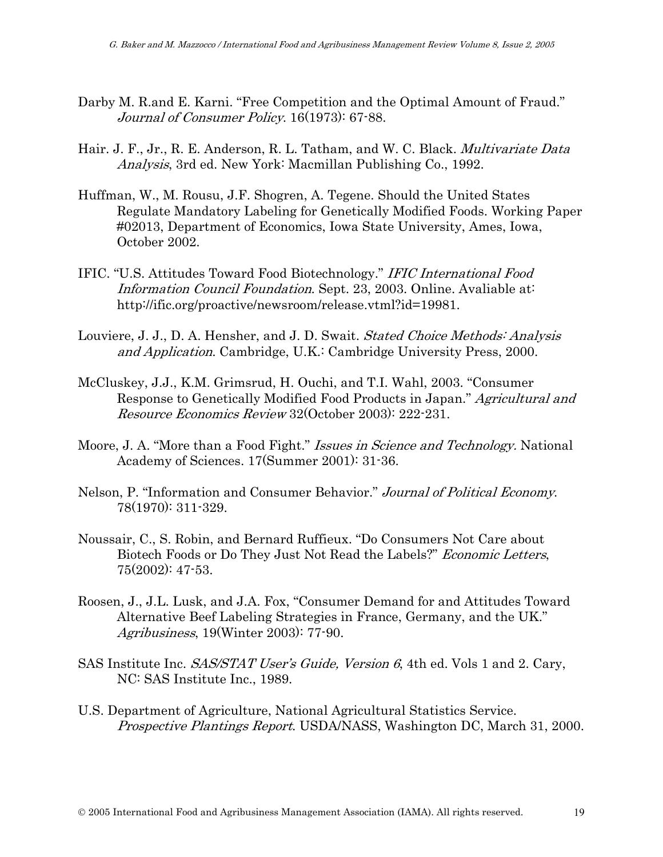- Darby M. R.and E. Karni. "Free Competition and the Optimal Amount of Fraud." Journal of Consumer Policy. 16(1973): 67-88.
- Hair. J. F., Jr., R. E. Anderson, R. L. Tatham, and W. C. Black. *Multivariate Data* Analysis, 3rd ed. New York: Macmillan Publishing Co., 1992.
- Huffman, W., M. Rousu, J.F. Shogren, A. Tegene. Should the United States Regulate Mandatory Labeling for Genetically Modified Foods. Working Paper #02013, Department of Economics, Iowa State University, Ames, Iowa, October 2002.
- IFIC. "U.S. Attitudes Toward Food Biotechnology." IFIC International Food Information Council Foundation. Sept. 23, 2003. Online. Avaliable at: http://ific.org/proactive/newsroom/release.vtml?id=19981.
- Louviere, J. J., D. A. Hensher, and J. D. Swait. *Stated Choice Methods: Analysis* and Application. Cambridge, U.K.: Cambridge University Press, 2000.
- McCluskey, J.J., K.M. Grimsrud, H. Ouchi, and T.I. Wahl, 2003. "Consumer Response to Genetically Modified Food Products in Japan." Agricultural and Resource Economics Review 32(October 2003): 222-231.
- Moore, J. A. "More than a Food Fight." *Issues in Science and Technology*. National Academy of Sciences. 17(Summer 2001): 31-36.
- Nelson, P. "Information and Consumer Behavior." Journal of Political Economy. 78(1970): 311-329.
- Noussair, C., S. Robin, and Bernard Ruffieux. "Do Consumers Not Care about Biotech Foods or Do They Just Not Read the Labels?" Economic Letters, 75(2002): 47-53.
- Roosen, J., J.L. Lusk, and J.A. Fox, "Consumer Demand for and Attitudes Toward Alternative Beef Labeling Strategies in France, Germany, and the UK." Agribusiness, 19(Winter 2003): 77-90.
- SAS Institute Inc. SAS/STAT User's Guide, Version 6, 4th ed. Vols 1 and 2. Cary, NC: SAS Institute Inc., 1989.
- U.S. Department of Agriculture, National Agricultural Statistics Service. Prospective Plantings Report. USDA/NASS, Washington DC, March 31, 2000.